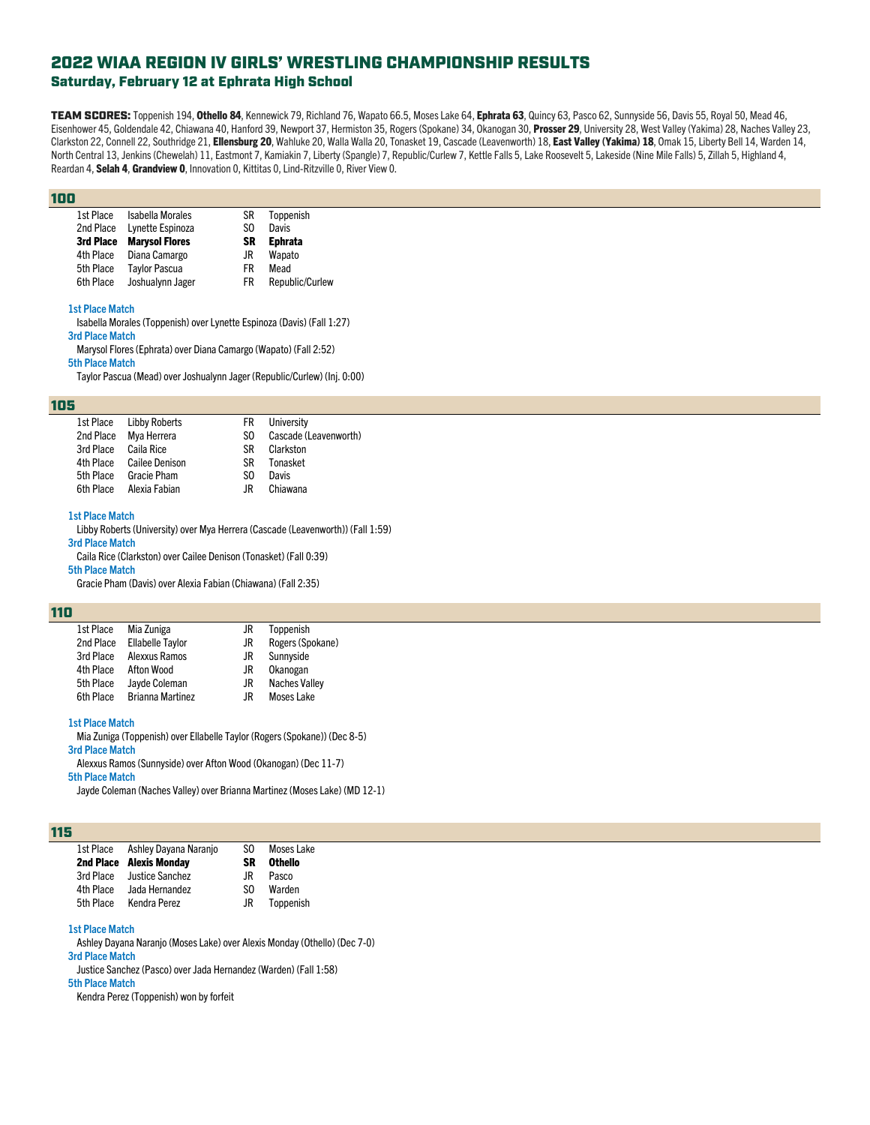## Saturday, February 12 at Ephrata High School

TEAM SCORES: Toppenish 194, Othello 84, Kennewick 79, Richland 76, Wapato 66.5, Moses Lake 64, Ephrata 63, Quincy 63, Pasco 62, Sunnyside 56, Davis 55, Royal 50, Mead 46, Eisenhower 45, Goldendale 42, Chiawana 40, Hanford 39, Newport 37, Hermiston 35, Rogers (Spokane) 34, Okanogan 30, Prosser 29, University 28, West Valley (Yakima) 28, Naches Valley 23, Clarkston 22, Connell 22, Southridge 21, Ellensburg 20, Wahluke 20, Walla Walla 20, Tonasket 19, Cascade (Leavenworth) 18, East Valley (Yakima) 18, Omak 15, Liberty Bell 14, Warden 14, North Central 13, Jenkins (Chewelah) 11, Eastmont 7, Kamiakin 7, Liberty (Spangle) 7, Republic/Curlew 7, Kettle Falls 5, Lake Roosevelt 5, Lakeside (Nine Mile Falls) 5, Zillah 5, Highland 4, Reardan 4, Selah 4, Grandview 0, Innovation 0, Kittitas 0, Lind-Ritzville 0, River View 0.

#### 100

| 1st Place | <b>Isabella Morales</b> | SR | Toppenish       |
|-----------|-------------------------|----|-----------------|
| 2nd Place | Lynette Espinoza        | S0 | Davis           |
| 3rd Place | <b>Marysol Flores</b>   | SR | <b>Ephrata</b>  |
| 4th Place | Diana Camargo           | JR | Wapato          |
| 5th Place | <b>Taylor Pascua</b>    | FR | Mead            |
| 6th Place | Joshualynn Jager        | FR | Republic/Curlew |
|           |                         |    |                 |

#### **1st Place Match**

Isabella Morales (Toppenish) over Lynette Espinoza (Davis) (Fall 1:27) **3rd Place Match** Marysol Flores (Ephrata) over Diana Camargo (Wapato) (Fall 2:52)

**5th Place Match**

Taylor Pascua (Mead) over Joshualynn Jager (Republic/Curlew) (Inj. 0:00)

#### 105

|                      | 1st Place Libby Roberts  |     | <b>FR</b> University  |
|----------------------|--------------------------|-----|-----------------------|
|                      | 2nd Place Mya Herrera    | SO. | Cascade (Leavenworth) |
| 3rd Place Caila Rice |                          | SR. | Clarkston             |
|                      | 4th Place Cailee Denison | SR. | Tonasket              |
| 5th Place            | Gracie Pham              | SO. | Davis                 |
|                      | 6th Place Alexia Fabian  | .IR | Chiawana              |

#### **1st Place Match**

Libby Roberts (University) over Mya Herrera (Cascade (Leavenworth)) (Fall 1:59) **3rd Place Match**

Caila Rice (Clarkston) over Cailee Denison (Tonasket) (Fall 0:39)

### **5th Place Match**

Gracie Pham (Davis) over Alexia Fabian (Chiawana) (Fall 2:35)

#### 110

| 1st Place | Mia Zuniga              | JR  | Toppenish            |
|-----------|-------------------------|-----|----------------------|
| 2nd Place | <b>Ellabelle Tavlor</b> | JR  | Rogers (Spokane)     |
| 3rd Place | Alexxus Ramos           | JR  | Sunnyside            |
| 4th Place | Afton Wood              | JR  | Okanogan             |
| 5th Place | Jayde Coleman           | JR  | <b>Naches Valley</b> |
| 6th Place | <b>Brianna Martinez</b> | .IR | <b>Moses Lake</b>    |

#### **1st Place Match**

Mia Zuniga (Toppenish) over Ellabelle Taylor (Rogers (Spokane)) (Dec 8-5) **3rd Place Match**

Alexxus Ramos (Sunnyside) over Afton Wood (Okanogan) (Dec 11-7)

**5th Place Match**

Jayde Coleman (Naches Valley) over Brianna Martinez (Moses Lake) (MD 12-1)

#### 115

| 1st Place | Ashley Dayana Naranjo          | S0. | Moses Lake     |
|-----------|--------------------------------|-----|----------------|
|           | <b>2nd Place Alexis Mondav</b> | SR  | <b>Othello</b> |
| 3rd Place | Justice Sanchez                | JR. | Pasco          |
| 4th Place | Jada Hernandez                 | SO. | Warden         |
| 5th Place | Kendra Perez                   | .IR | Toppenish      |

#### **1st Place Match**

Ashley Dayana Naranjo (Moses Lake) over Alexis Monday (Othello) (Dec 7-0)

**3rd Place Match**

Justice Sanchez (Pasco) over Jada Hernandez (Warden) (Fall 1:58)

**5th Place Match**

Kendra Perez (Toppenish) won by forfeit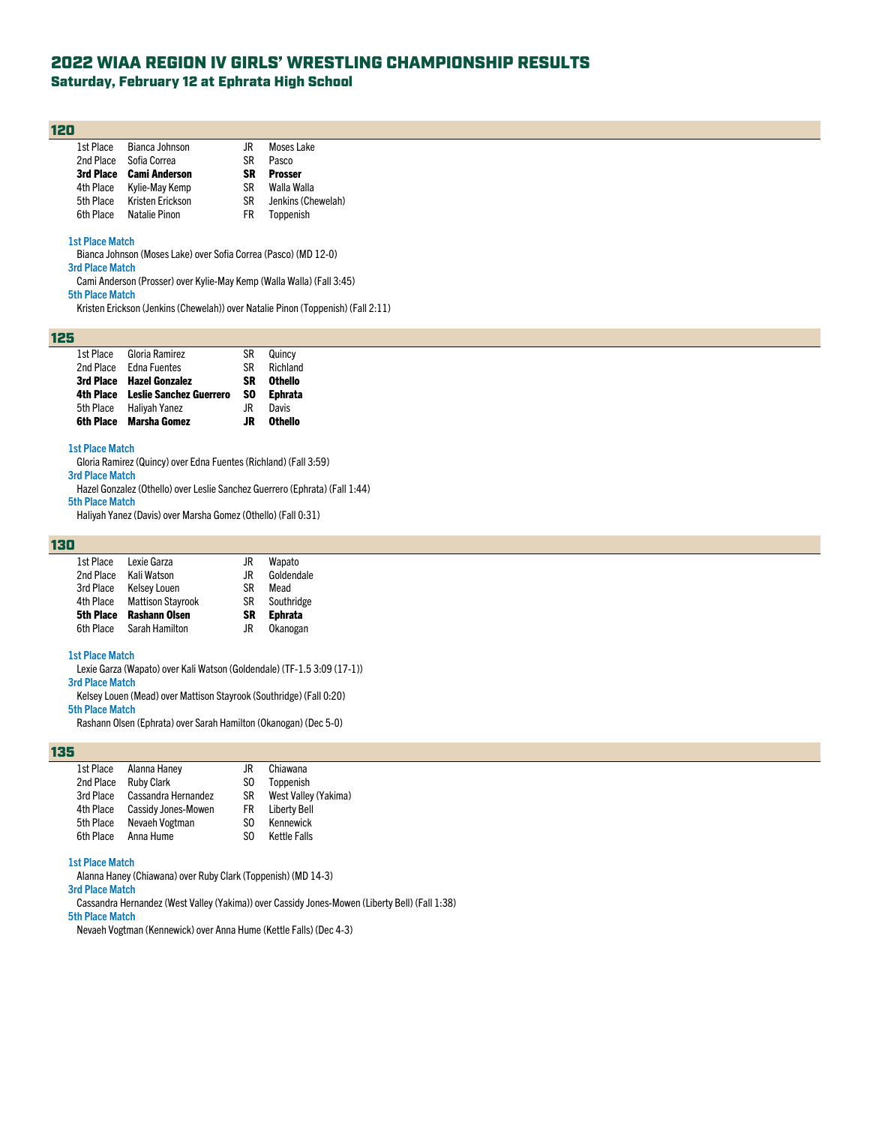## Saturday, February 12 at Ephrata High School

#### 120

| 1st Place | Bianca Johnson          | .IR | <b>Moses Lake</b> |
|-----------|-------------------------|-----|-------------------|
| 2nd Place | Sofia Correa            | SR  | Pasco             |
|           | 3rd Place Cami Anderson | SR  | <b>Prosser</b>    |
| 4th Place | Kylie-May Kemp          | SR. | Walla Walla       |
| 5th Place | Kristen Erickson        | SR. | Jenkins (Che      |
| 6th Place | Natalie Pinon           | FR. | Toppenish         |

Jenkins (Chewelah)<br>Toppenish

#### **1st Place Match**

Bianca Johnson (Moses Lake) over Sofia Correa (Pasco) (MD 12-0)

**3rd Place Match**

- Cami Anderson (Prosser) over Kylie-May Kemp (Walla Walla) (Fall 3:45)
- **5th Place Match**

Kristen Erickson (Jenkins (Chewelah)) over Natalie Pinon (Toppenish) (Fall 2:11)

### 125

| 1st Place        | Gloria Ramirez                 | SR  | Quincy         |
|------------------|--------------------------------|-----|----------------|
| 2nd Place        | <b>Edna Fuentes</b>            | SR  | Richland       |
| 3rd Place        | <b>Hazel Gonzalez</b>          | SR  | <b>Othello</b> |
| 4th Place        | <b>Leslie Sanchez Guerrero</b> | SO. | <b>Ephrata</b> |
| 5th Place        | Haliyah Yanez                  | .IR | Davis          |
| <b>6th Place</b> | <b>Marsha Gomez</b>            | .IR | Othello        |

#### **1st Place Match**

Gloria Ramirez (Quincy) over Edna Fuentes (Richland) (Fall 3:59) **3rd Place Match**

Hazel Gonzalez (Othello) over Leslie Sanchez Guerrero (Ephrata) (Fall 1:44) **5th Place Match**

Haliyah Yanez (Davis) over Marsha Gomez (Othello) (Fall 0:31)

#### 130

| 1st Place | Lexie Garza              | JR  | Wapato         |
|-----------|--------------------------|-----|----------------|
| 2nd Place | Kali Watson              | .IR | Goldendale     |
| 3rd Place | <b>Kelsey Louen</b>      | ßR  | Mead           |
| 4th Place | <b>Mattison Stayrook</b> | SR  | Southridge     |
| 5th Place | <b>Rashann Olsen</b>     | SR  | <b>Ephrata</b> |
| 6th Place | Sarah Hamilton           | JR  | Okanogan       |

#### **1st Place Match**

Lexie Garza (Wapato) over Kali Watson (Goldendale) (TF-1.5 3:09 (17-1))

**3rd Place Match** Kelsey Louen (Mead) over Mattison Stayrook (Southridge) (Fall 0:20)

#### **5th Place Match**

Rashann Olsen (Ephrata) over Sarah Hamilton (Okanogan) (Dec 5-0)

#### 135

| 1st Place | Alanna Haney               | JR  | Chiawana             |
|-----------|----------------------------|-----|----------------------|
| 2nd Place | <b>Ruby Clark</b>          | SO. | Toppenish            |
| 3rd Place | Cassandra Hernandez        | SR  | West Valley (Yakima) |
| 4th Place | <b>Cassidy Jones-Mowen</b> | FR. | <b>Liberty Bell</b>  |
| 5th Place | Nevaeh Vogtman             | SO. | Kennewick            |
| 6th Place | Anna Hume                  | SO. | Kettle Falls         |
|           |                            |     |                      |

#### **1st Place Match**

Alanna Haney (Chiawana) over Ruby Clark (Toppenish) (MD 14-3)

## **3rd Place Match**

Cassandra Hernandez (West Valley (Yakima)) over Cassidy Jones-Mowen (Liberty Bell) (Fall 1:38) **5th Place Match**

Nevaeh Vogtman (Kennewick) over Anna Hume (Kettle Falls) (Dec 4-3)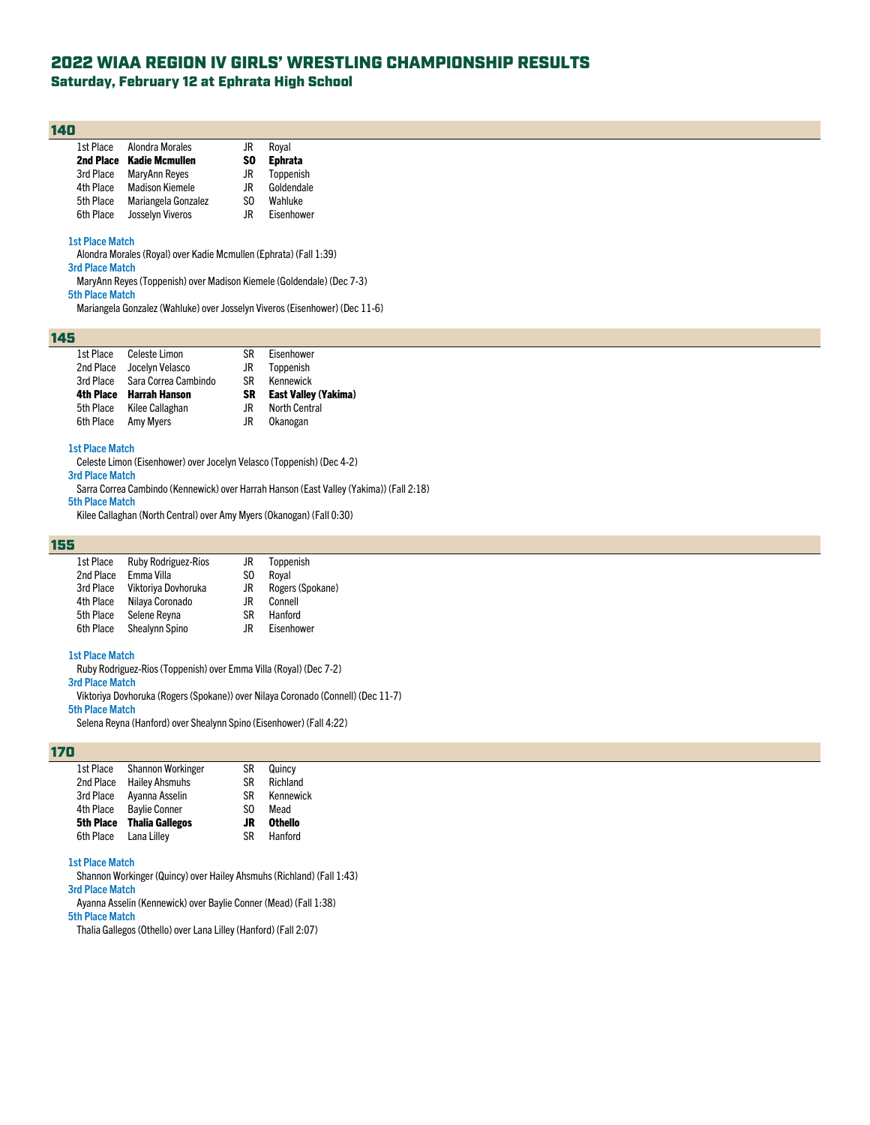Saturday, February 12 at Ephrata High School

#### 140

| 1st Place | Alondra Morales         | JR        | Roval          |
|-----------|-------------------------|-----------|----------------|
| 2nd Place | <b>Kadie Mcmullen</b>   | <b>SO</b> | <b>Ephrata</b> |
| 3rd Place | MaryAnn Reyes           | JR        | Toppenish      |
| 4th Place | <b>Madison Kiemele</b>  | .IR.      | Goldendale     |
| 5th Place | Mariangela Gonzalez     | SO.       | Wahluke        |
| 6th Place | <b>Josselyn Viveros</b> | .IR       | Eisenhower     |

## **1st Place Match**

Alondra Morales (Royal) over Kadie Mcmullen (Ephrata) (Fall 1:39)

**3rd Place Match**

MaryAnn Reyes (Toppenish) over Madison Kiemele (Goldendale) (Dec 7-3)

#### **5th Place Match**

Mariangela Gonzalez (Wahluke) over Josselyn Viveros (Eisenhower) (Dec 11-6)

## 145

| 1st Place | Celeste Limon        | SR  | Eisenhower                  |
|-----------|----------------------|-----|-----------------------------|
| 2nd Place | Jocelyn Velasco      | JR  | Toppenish                   |
| 3rd Place | Sara Correa Cambindo | SR. | Kennewick                   |
| 4th Place | Harrah Hanson        | SR  | <b>East Valley (Yakima)</b> |
| 5th Place | Kilee Callaghan      | .IR | <b>North Central</b>        |
| 6th Place | <b>Amy Myers</b>     | JR  | Okanogan                    |

#### **1st Place Match**

Celeste Limon (Eisenhower) over Jocelyn Velasco (Toppenish) (Dec 4-2)

**3rd Place Match**

Sarra Correa Cambindo (Kennewick) over Harrah Hanson (East Valley (Yakima)) (Fall 2:18) **5th Place Match**

Kilee Callaghan (North Central) over Amy Myers (Okanogan) (Fall 0:30)

#### 155

| 1st Place | <b>Ruby Rodriguez-Rios</b> | JR  | Toppenish        |
|-----------|----------------------------|-----|------------------|
| 2nd Place | Emma Villa                 | SO. | Roval            |
| 3rd Place | Viktoriya Dovhoruka        | JR  | Rogers (Spokane) |
| 4th Place | Nilaya Coronado            | JR  | Connell          |
| 5th Place | Selene Reyna               | SR  | Hanford          |
| 6th Place | Shealynn Spino             | JR  | Eisenhower       |

#### **1st Place Match**

Ruby Rodriguez-Rios (Toppenish) over Emma Villa (Royal) (Dec 7-2)

## **3rd Place Match**

Viktoriya Dovhoruka (Rogers (Spokane)) over Nilaya Coronado (Connell) (Dec 11-7)

#### **5th Place Match**

Selena Reyna (Hanford) over Shealynn Spino (Eisenhower) (Fall 4:22)

#### 170

| 1st Place | <b>Shannon Workinger</b> | SR        | Quincy         |
|-----------|--------------------------|-----------|----------------|
| 2nd Place | <b>Hailey Ahsmuhs</b>    | SR        | Richland       |
| 3rd Place | Ayanna Asselin           | <b>SR</b> | Kennewick      |
| 4th Place | <b>Bavlie Conner</b>     | SO.       | Mead           |
| 5th Place | <b>Thalia Gallegos</b>   | JR        | <b>Othello</b> |
| 6th Place | Lana Lillev              | SR        | Hanford        |
|           |                          |           |                |

#### **1st Place Match**

Shannon Workinger (Quincy) over Hailey Ahsmuhs (Richland) (Fall 1:43)

## **3rd Place Match**

Ayanna Asselin (Kennewick) over Baylie Conner (Mead) (Fall 1:38) **5th Place Match**

Thalia Gallegos (Othello) over Lana Lilley (Hanford) (Fall 2:07)